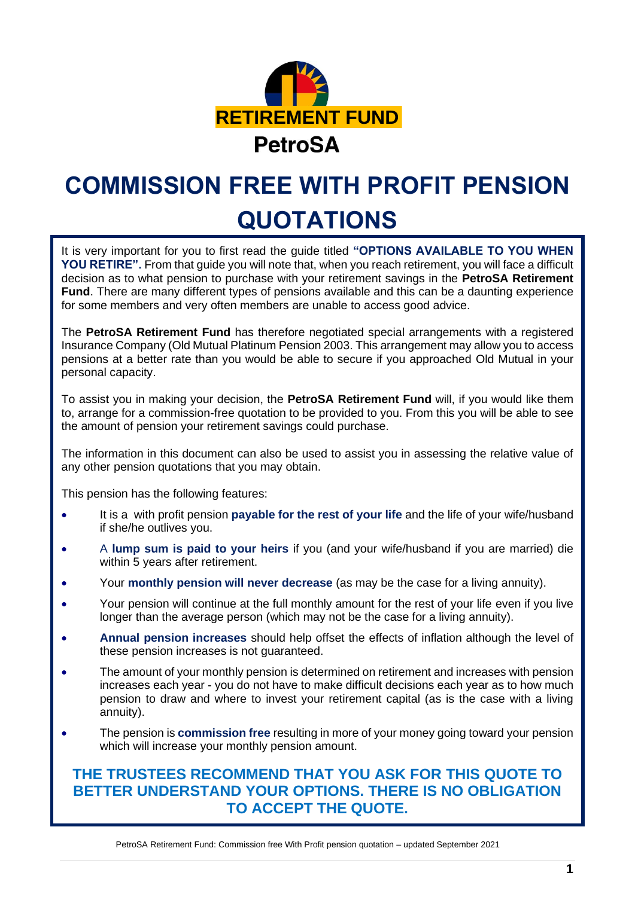

# **COMMISSION FREE WITH PROFIT PENSION QUOTATIONS**

It is very important for you to first read the guide titled **"OPTIONS AVAILABLE TO YOU WHEN YOU RETIRE".** From that guide you will note that, when you reach retirement, you will face a difficult decision as to what pension to purchase with your retirement savings in the **PetroSA Retirement Fund**. There are many different types of pensions available and this can be a daunting experience for some members and very often members are unable to access good advice.

The **PetroSA Retirement Fund** has therefore negotiated special arrangements with a registered Insurance Company (Old Mutual Platinum Pension 2003. This arrangement may allow you to access pensions at a better rate than you would be able to secure if you approached Old Mutual in your personal capacity.

To assist you in making your decision, the **PetroSA Retirement Fund** will, if you would like them to, arrange for a commission-free quotation to be provided to you. From this you will be able to see the amount of pension your retirement savings could purchase.

The information in this document can also be used to assist you in assessing the relative value of any other pension quotations that you may obtain.

This pension has the following features:

- It is a with profit pension **payable for the rest of your life** and the life of your wife/husband if she/he outlives you.
- A **lump sum is paid to your heirs** if you (and your wife/husband if you are married) die within 5 years after retirement.
- Your **monthly pension will never decrease** (as may be the case for a living annuity).
- Your pension will continue at the full monthly amount for the rest of your life even if you live longer than the average person (which may not be the case for a living annuity).
- **Annual pension increases** should help offset the effects of inflation although the level of these pension increases is not guaranteed.
- The amount of your monthly pension is determined on retirement and increases with pension increases each year - you do not have to make difficult decisions each year as to how much pension to draw and where to invest your retirement capital (as is the case with a living annuity).
- The pension is **commission free** resulting in more of your money going toward your pension which will increase your monthly pension amount.

#### **THE TRUSTEES RECOMMEND THAT YOU ASK FOR THIS QUOTE TO BETTER UNDERSTAND YOUR OPTIONS. THERE IS NO OBLIGATION TO ACCEPT THE QUOTE.**

PetroSA Retirement Fund: Commission free With Profit pension quotation – updated September 2021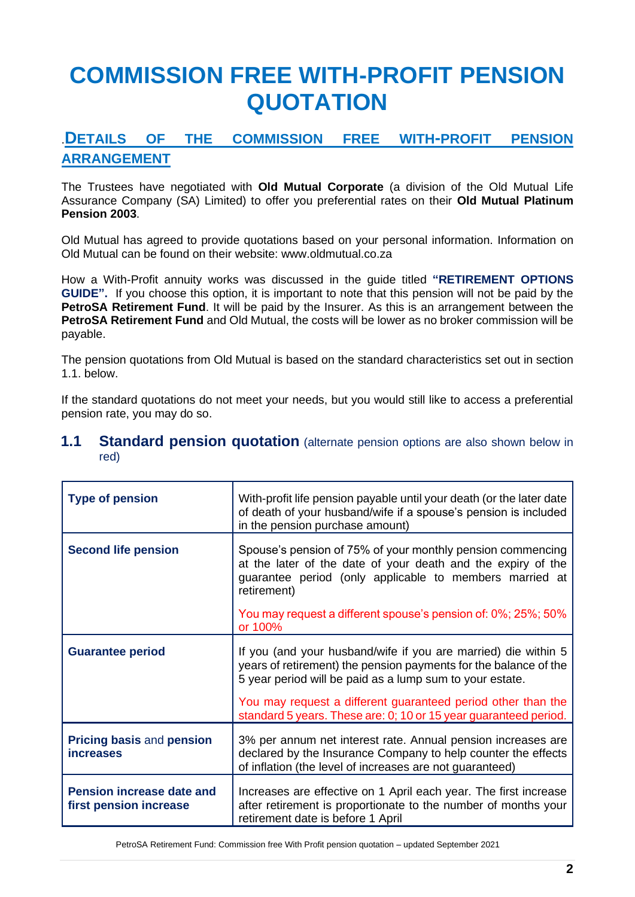## **COMMISSION FREE WITH-PROFIT PENSION QUOTATION**

### .**DETAILS OF THE COMMISSION FREE WITH-PROFIT PENSION ARRANGEMENT**

The Trustees have negotiated with **Old Mutual Corporate** (a division of the Old Mutual Life Assurance Company (SA) Limited) to offer you preferential rates on their **Old Mutual Platinum Pension 2003**.

Old Mutual has agreed to provide quotations based on your personal information. Information on Old Mutual can be found on their website: www.oldmutual.co.za

How a With-Profit annuity works was discussed in the guide titled **"RETIREMENT OPTIONS GUIDE".** If you choose this option, it is important to note that this pension will not be paid by the **PetroSA Retirement Fund**. It will be paid by the Insurer. As this is an arrangement between the **PetroSA Retirement Fund** and Old Mutual, the costs will be lower as no broker commission will be payable.

The pension quotations from Old Mutual is based on the standard characteristics set out in section 1.1. below.

If the standard quotations do not meet your needs, but you would still like to access a preferential pension rate, you may do so.

#### **1.1 Standard pension quotation** (alternate pension options are also shown below in red)

| <b>Type of pension</b>                                     | With-profit life pension payable until your death (or the later date<br>of death of your husband/wife if a spouse's pension is included<br>in the pension purchase amount)                           |
|------------------------------------------------------------|------------------------------------------------------------------------------------------------------------------------------------------------------------------------------------------------------|
| <b>Second life pension</b>                                 | Spouse's pension of 75% of your monthly pension commencing<br>at the later of the date of your death and the expiry of the<br>guarantee period (only applicable to members married at<br>retirement) |
|                                                            | You may request a different spouse's pension of: 0%; 25%; 50%<br>or 100%                                                                                                                             |
| <b>Guarantee period</b>                                    | If you (and your husband/wife if you are married) die within 5<br>years of retirement) the pension payments for the balance of the<br>5 year period will be paid as a lump sum to your estate.       |
|                                                            | You may request a different guaranteed period other than the<br>standard 5 years. These are: 0; 10 or 15 year guaranteed period.                                                                     |
| <b>Pricing basis and pension</b><br><i>increases</i>       | 3% per annum net interest rate. Annual pension increases are<br>declared by the Insurance Company to help counter the effects<br>of inflation (the level of increases are not guaranteed)            |
| <b>Pension increase date and</b><br>first pension increase | Increases are effective on 1 April each year. The first increase<br>after retirement is proportionate to the number of months your<br>retirement date is before 1 April                              |

PetroSA Retirement Fund: Commission free With Profit pension quotation – updated September 2021